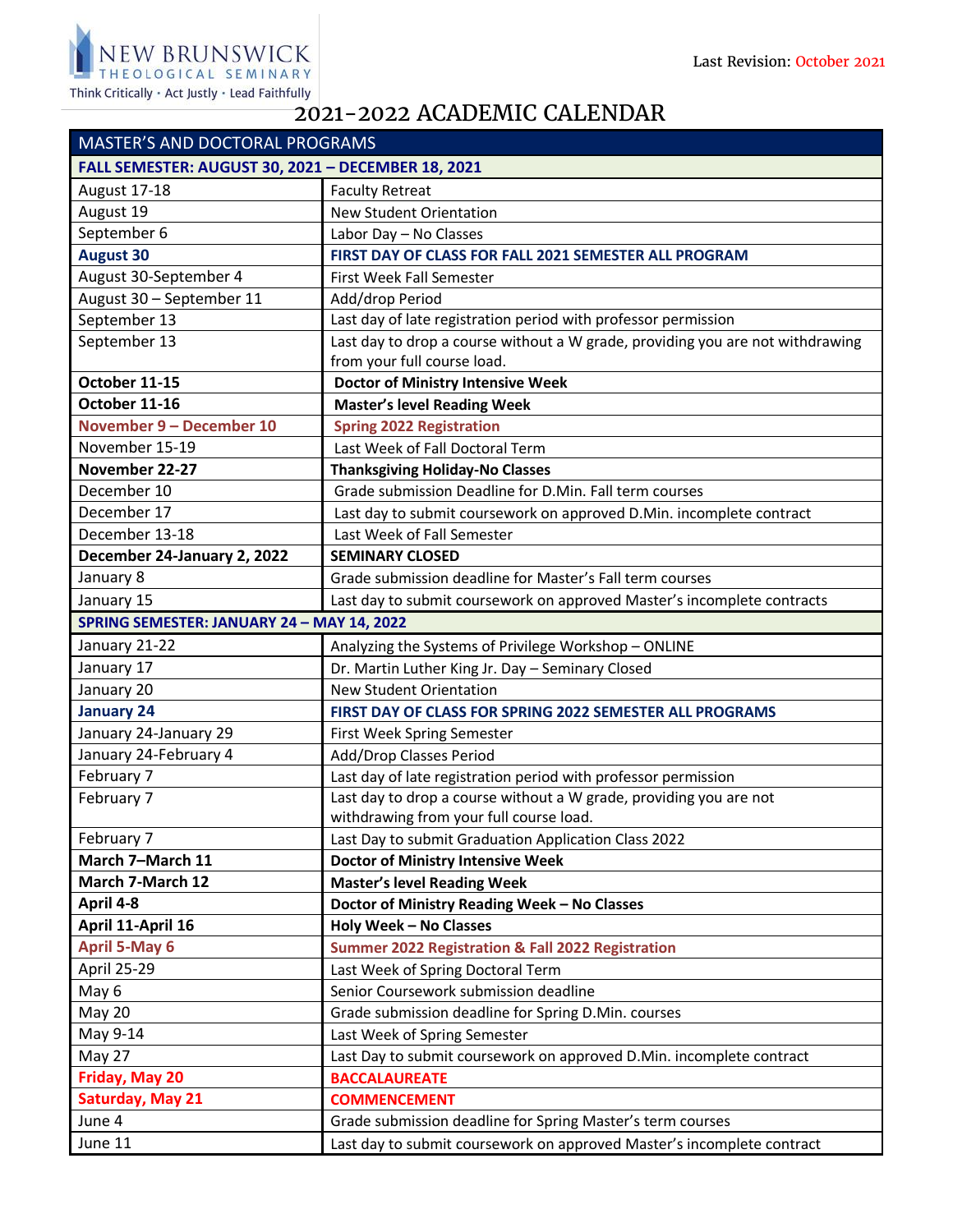

## 2021-2022 ACADEMIC CALENDAR

| <b>MASTER'S AND DOCTORAL PROGRAMS</b>              |                                                                                |  |
|----------------------------------------------------|--------------------------------------------------------------------------------|--|
| FALL SEMESTER: AUGUST 30, 2021 - DECEMBER 18, 2021 |                                                                                |  |
| August 17-18                                       | <b>Faculty Retreat</b>                                                         |  |
| August 19                                          | <b>New Student Orientation</b>                                                 |  |
| September 6                                        | Labor Day - No Classes                                                         |  |
| <b>August 30</b>                                   | FIRST DAY OF CLASS FOR FALL 2021 SEMESTER ALL PROGRAM                          |  |
| August 30-September 4                              | First Week Fall Semester                                                       |  |
| August 30 - September 11                           | Add/drop Period                                                                |  |
| September 13                                       | Last day of late registration period with professor permission                 |  |
| September 13                                       | Last day to drop a course without a W grade, providing you are not withdrawing |  |
|                                                    | from your full course load.                                                    |  |
| October 11-15                                      | <b>Doctor of Ministry Intensive Week</b>                                       |  |
| October 11-16                                      | <b>Master's level Reading Week</b>                                             |  |
| November 9 - December 10                           | <b>Spring 2022 Registration</b>                                                |  |
| November 15-19                                     | Last Week of Fall Doctoral Term                                                |  |
| November 22-27                                     | <b>Thanksgiving Holiday-No Classes</b>                                         |  |
| December 10                                        | Grade submission Deadline for D.Min. Fall term courses                         |  |
| December 17                                        | Last day to submit coursework on approved D.Min. incomplete contract           |  |
| December 13-18                                     | Last Week of Fall Semester                                                     |  |
| December 24-January 2, 2022                        | <b>SEMINARY CLOSED</b>                                                         |  |
| January 8                                          | Grade submission deadline for Master's Fall term courses                       |  |
| January 15                                         | Last day to submit coursework on approved Master's incomplete contracts        |  |
| SPRING SEMESTER: JANUARY 24 - MAY 14, 2022         |                                                                                |  |
| January 21-22                                      | Analyzing the Systems of Privilege Workshop - ONLINE                           |  |
| January 17                                         | Dr. Martin Luther King Jr. Day - Seminary Closed                               |  |
| January 20                                         | <b>New Student Orientation</b>                                                 |  |
| <b>January 24</b>                                  | FIRST DAY OF CLASS FOR SPRING 2022 SEMESTER ALL PROGRAMS                       |  |
| January 24-January 29                              | First Week Spring Semester                                                     |  |
| January 24-February 4                              | Add/Drop Classes Period                                                        |  |
| February 7                                         | Last day of late registration period with professor permission                 |  |
| February 7                                         | Last day to drop a course without a W grade, providing you are not             |  |
|                                                    | withdrawing from your full course load.                                        |  |
| February 7                                         | Last Day to submit Graduation Application Class 2022                           |  |
| March 7-March 11                                   | <b>Doctor of Ministry Intensive Week</b>                                       |  |
| March 7-March 12                                   | <b>Master's level Reading Week</b>                                             |  |
| April 4-8                                          | Doctor of Ministry Reading Week - No Classes                                   |  |
| April 11-April 16                                  | <b>Holy Week - No Classes</b>                                                  |  |
| <b>April 5-May 6</b>                               | <b>Summer 2022 Registration &amp; Fall 2022 Registration</b>                   |  |
| April 25-29                                        | Last Week of Spring Doctoral Term                                              |  |
| May 6                                              | Senior Coursework submission deadline                                          |  |
| <b>May 20</b>                                      | Grade submission deadline for Spring D.Min. courses                            |  |
| May 9-14                                           | Last Week of Spring Semester                                                   |  |
| May 27                                             | Last Day to submit coursework on approved D.Min. incomplete contract           |  |
| Friday, May 20                                     | <b>BACCALAUREATE</b>                                                           |  |
| Saturday, May 21                                   | <b>COMMENCEMENT</b>                                                            |  |
| June 4                                             | Grade submission deadline for Spring Master's term courses                     |  |
| June 11                                            | Last day to submit coursework on approved Master's incomplete contract         |  |